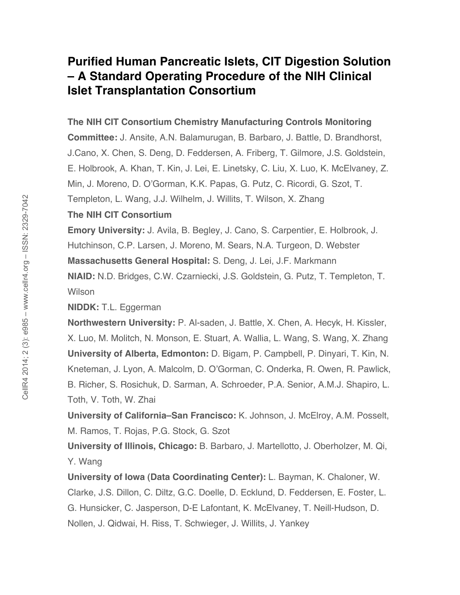## **Purified Human Pancreatic Islets, CIT Digestion Solution – A Standard Operating Procedure of the NIH Clinical Islet Transplantation Consortium**

**The NIH CIT Consortium Chemistry Manufacturing Controls Monitoring** 

**Committee:** J. Ansite, A.N. Balamurugan, B. Barbaro, J. Battle, D. Brandhorst, J.Cano, X. Chen, S. Deng, D. Feddersen, A. Friberg, T. Gilmore, J.S. Goldstein, E. Holbrook, A. Khan, T. Kin, J. Lei, E. Linetsky, C. Liu, X. Luo, K. McElvaney, Z. Min, J. Moreno, D. O'Gorman, K.K. Papas, G. Putz, C. Ricordi, G. Szot, T. Templeton, L. Wang, J.J. Wilhelm, J. Willits, T. Wilson, X. Zhang

## **The NIH CIT Consortium**

**Emory University:** J. Avila, B. Begley, J. Cano, S. Carpentier, E. Holbrook, J. Hutchinson, C.P. Larsen, J. Moreno, M. Sears, N.A. Turgeon, D. Webster

**Massachusetts General Hospital:** S. Deng, J. Lei, J.F. Markmann

**NIAID:** N.D. Bridges, C.W. Czarniecki, J.S. Goldstein, G. Putz, T. Templeton, T. **Wilson** 

**NIDDK:** T.L. Eggerman

**Northwestern University:** P. Al-saden, J. Battle, X. Chen, A. Hecyk, H. Kissler, X. Luo, M. Molitch, N. Monson, E. Stuart, A. Wallia, L. Wang, S. Wang, X. Zhang **University of Alberta, Edmonton:** D. Bigam, P. Campbell, P. Dinyari, T. Kin, N. Kneteman, J. Lyon, A. Malcolm, D. O'Gorman, C. Onderka, R. Owen, R. Pawlick, B. Richer, S. Rosichuk, D. Sarman, A. Schroeder, P.A. Senior, A.M.J. Shapiro, L. Toth, V. Toth, W. Zhai

**University of California–San Francisco:** K. Johnson, J. McElroy, A.M. Posselt, M. Ramos, T. Rojas, P.G. Stock, G. Szot

**University of Illinois, Chicago:** B. Barbaro, J. Martellotto, J. Oberholzer, M. Qi, Y. Wang

**University of Iowa (Data Coordinating Center):** L. Bayman, K. Chaloner, W. Clarke, J.S. Dillon, C. Diltz, G.C. Doelle, D. Ecklund, D. Feddersen, E. Foster, L. G. Hunsicker, C. Jasperson, D-E Lafontant, K. McElvaney, T. Neill-Hudson, D. Nollen, J. Qidwai, H. Riss, T. Schwieger, J. Willits, J. Yankey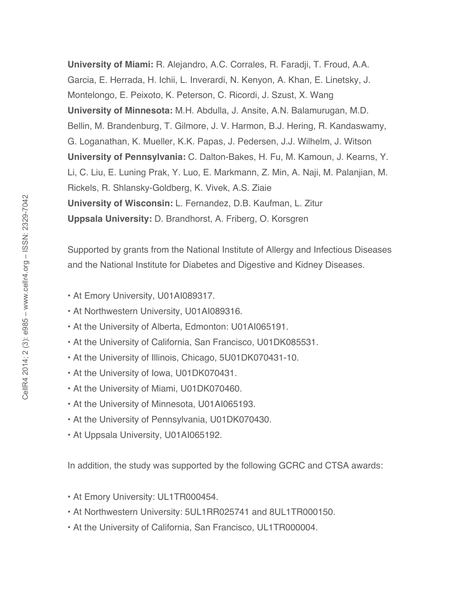**University of Miami:** R. Alejandro, A.C. Corrales, R. Faradji, T. Froud, A.A. Garcia, E. Herrada, H. Ichii, L. Inverardi, N. Kenyon, A. Khan, E. Linetsky, J. Montelongo, E. Peixoto, K. Peterson, C. Ricordi, J. Szust, X. Wang **University of Minnesota:** M.H. Abdulla, J. Ansite, A.N. Balamurugan, M.D. Bellin, M. Brandenburg, T. Gilmore, J. V. Harmon, B.J. Hering, R. Kandaswamy, G. Loganathan, K. Mueller, K.K. Papas, J. Pedersen, J.J. Wilhelm, J. Witson **University of Pennsylvania:** C. Dalton-Bakes, H. Fu, M. Kamoun, J. Kearns, Y. Li, C. Liu, E. Luning Prak, Y. Luo, E. Markmann, Z. Min, A. Naji, M. Palanjian, M. Rickels, R. Shlansky-Goldberg, K. Vivek, A.S. Ziaie **University of Wisconsin:** L. Fernandez, D.B. Kaufman, L. Zitur **Uppsala University:** D. Brandhorst, A. Friberg, O. Korsgren

Supported by grants from the National Institute of Allergy and Infectious Diseases and the National Institute for Diabetes and Digestive and Kidney Diseases.

- At Emory University, U01AI089317.
- At Northwestern University, U01AI089316.
- At the University of Alberta, Edmonton: U01AI065191.
- At the University of California, San Francisco, U01DK085531.
- At the University of Illinois, Chicago, 5U01DK070431-10.
- At the University of Iowa, U01DK070431.
- At the University of Miami, U01DK070460.
- At the University of Minnesota, U01AI065193.
- At the University of Pennsylvania, U01DK070430.
- At Uppsala University, U01AI065192.

In addition, the study was supported by the following GCRC and CTSA awards:

- At Emory University: UL1TR000454.
- At Northwestern University: 5UL1RR025741 and 8UL1TR000150.
- At the University of California, San Francisco, UL1TR000004.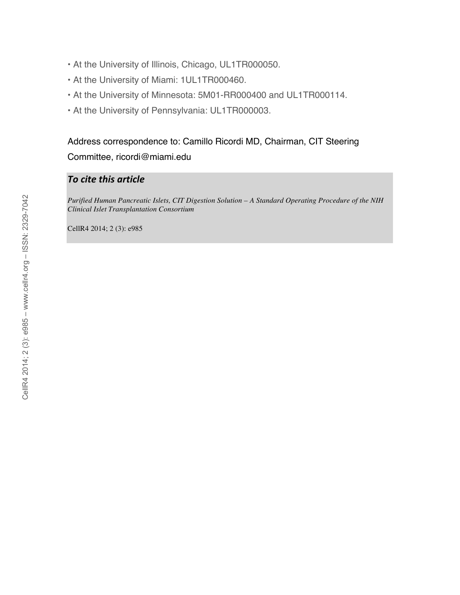- At the University of Illinois, Chicago, UL1TR000050.
- At the University of Miami: 1UL1TR000460.
- At the University of Minnesota: 5M01-RR000400 and UL1TR000114.
- At the University of Pennsylvania: UL1TR000003.

Address correspondence to: Camillo Ricordi MD, Chairman, CIT Steering Committee, ricordi@miami.edu

## *To
cite
this
article*

*Purified Human Pancreatic Islets, CIT Digestion Solution – A Standard Operating Procedure of the NIH Clinical Islet Transplantation Consortium*

CellR4 2014; 2 (3): e985